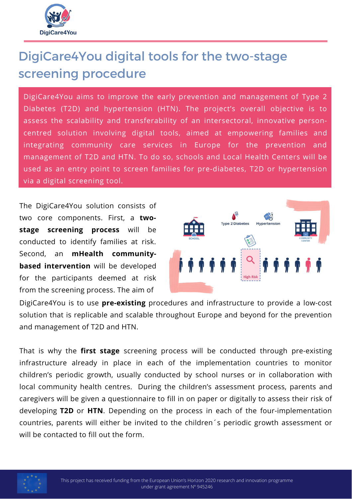

## DigiCare4You digital tools for the two-stage screening procedure

DigiCare4You aims to improve the early prevention and management of Type 2 Diabetes (T2D) and hypertension (HTN). The project's overall objective is to assess the scalability and transferability of an intersectoral, innovative personcentred solution involving digital tools, aimed at empowering families and integrating community care services in Europe for the prevention and management of T2D and HTN. To do so, schools and Local Health Centers will be used as an entry point to screen families for pre-diabetes, T2D or hypertension via a digital screening tool.

The DigiCare4You solution consists of two core components. First, a **twostage screening process** will be conducted to identify families at risk. Second, an **mHealth communitybased intervention** will be developed for the participants deemed at risk from the screening process. The aim of



DigiCare4You is to use **pre-existing** procedures and infrastructure to provide a low-cost solution that is replicable and scalable throughout Europe and beyond for the prevention and management of T2D and HTN.

That is why the **first stage** screening process will be conducted through pre-existing infrastructure already in place in each of the implementation countries to monitor children's periodic growth, usually conducted by school nurses or in collaboration with local community health centres. During the children's assessment process, parents and caregivers will be given a questionnaire to fill in on paper or digitally to assess their risk of developing **T2D** or **HTN**. Depending on the process in each of the four-implementation countries, parents will either be invited to the children´s periodic growth assessment or will be contacted to fill out the form.

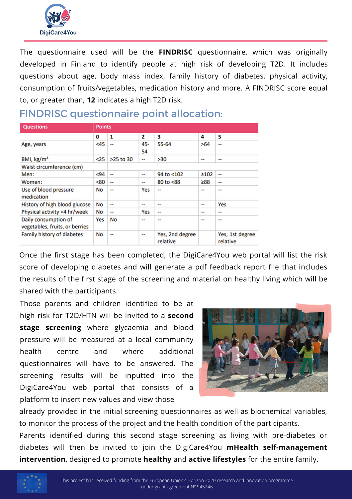

The questionnaire used will be the **FINDRISC** questionnaire, which was originally developed in Finland to identify people at high risk of developing T2D. It includes questions about age, body mass index, family history of diabetes, physical activity, consumption of fruits/vegetables, medication history and more. A FINDRISC score equal to, or greater than, **12** indicates a high T2D risk.

| <b>Questions</b>                                       | <b>Points</b> |                          |                          |                             |      |                             |
|--------------------------------------------------------|---------------|--------------------------|--------------------------|-----------------------------|------|-----------------------------|
|                                                        | 0             | 1                        | 2                        | з                           | 4    | 5                           |
| Age, years                                             | $45$          | $\overline{\phantom{a}}$ | 45-<br>54                | 55-64                       | >64  | --                          |
| BMI, kg/m <sup>2</sup>                                 | $25$          | $>25$ to $30$            | ۰.                       | >30                         |      |                             |
| Waist circumference (cm)                               |               |                          |                          |                             |      |                             |
| Men:                                                   | $94$          | $\overline{\phantom{a}}$ | --                       | 94 to <102                  | ≥102 | $\overline{\phantom{a}}$    |
| Women:                                                 | <80           | $\mathbf{u}$             |                          | 80 to <88                   | ≥88  | $\sim$ $\sim$               |
| Use of blood pressure<br>medication                    | No            | --                       | Yes                      | $\overline{\phantom{a}}$    | --   | --                          |
| History of high blood glucose                          | No            | --                       | $\frac{1}{2}$            | $\overline{\phantom{a}}$    | --   | Yes                         |
| Physical activity <4 hr/week                           | No            | --                       | Yes                      | $\sim$                      | --   | --                          |
| Daily consumption of<br>vegetables, fruits, or berries | Yes           | No                       | --                       | --                          | --   | --                          |
| Family history of diabetes                             | No            | --                       | $\overline{\phantom{a}}$ | Yes, 2nd degree<br>relative |      | Yes, 1st degree<br>relative |

## FINDRISC questionnaire point allocation:

Once the first stage has been completed, the DigiCare4You web portal will list the risk score of developing diabetes and will generate a pdf feedback report file that includes the results of the first stage of the screening and material on healthy living which will be shared with the participants.

Those parents and children identified to be at high risk for T2D/HTN will be invited to a **second stage screening** where glycaemia and blood pressure will be measured at a local community health centre and where additional questionnaires will have to be answered. The screening results will be inputted into the DigiCare4You web portal that consists of a platform to insert new values and view those



already provided in the initial screening questionnaires as well as biochemical variables, to monitor the process of the project and the health condition of the participants. Parents identified during this second stage screening as living with pre-diabetes or diabetes will then be invited to join the DigiCare4You **mHealth self-management intervention**, designed to promote **healthy** and **active lifestyles** for the entire family.

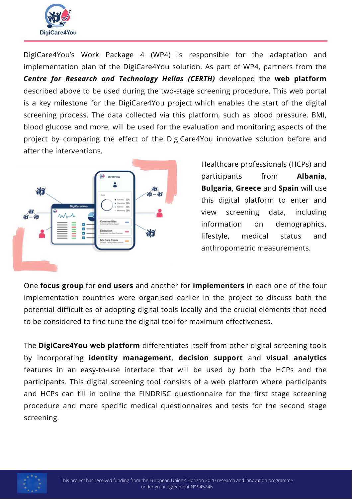

DigiCare4You's Work Package 4 (WP4) is responsible for the adaptation and implementation plan of the DigiCare4You solution. As part of WP4, partners from the *Centre for Research and Technology Hellas (CERTH)* developed the **web platform** described above to be used during the two-stage screening procedure. This web portal is a key milestone for the DigiCare4You project which enables the start of the digital screening process. The data collected via this platform, such as blood pressure, BMI, blood glucose and more, will be used for the evaluation and monitoring aspects of the project by comparing the effect of the DigiCare4You innovative solution before and after the interventions.



Healthcare professionals (HCPs) and participants from **Albania**, **Bulgaria**, **Greece** and **Spain** will use this digital platform to enter and view screening data, including information on demographics, lifestyle, medical status and anthropometric measurements.

One **focus group** for **end users** and another for **implementers** in each one of the four implementation countries were organised earlier in the project to discuss both the potential difficulties of adopting digital tools locally and the crucial elements that need to be considered to fine tune the digital tool for maximum effectiveness.

The **DigiCare4You web platform** differentiates itself from other digital screening tools by incorporating **identity management**, **decision support** and **visual analytics** features in an easy-to-use interface that will be used by both the HCPs and the participants. This digital screening tool consists of a web platform where participants and HCPs can fill in online the FINDRISC questionnaire for the first stage screening procedure and more specific medical questionnaires and tests for the second stage screening.